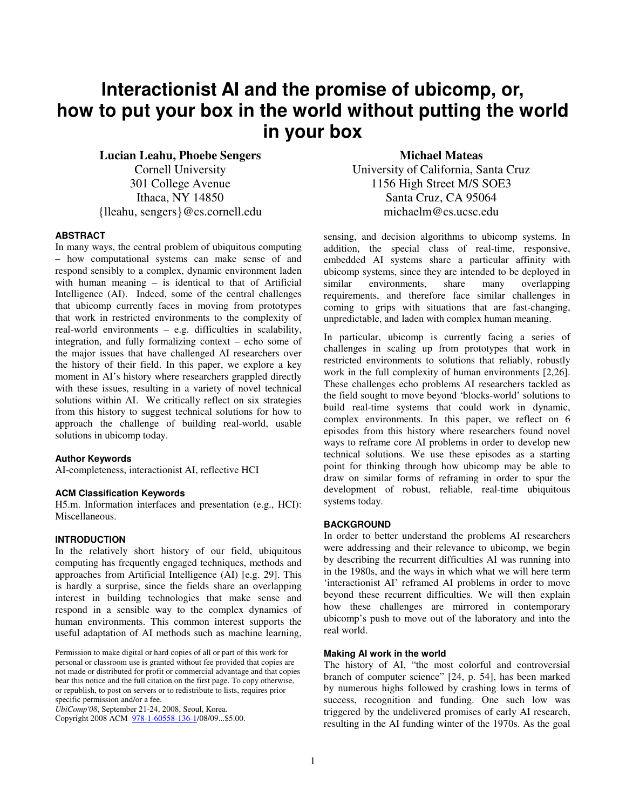# **Interactionist AI and the promise of ubicomp, or, how to put your box in the world without putting the world in your box**

**Lucian Leahu, Phoebe Sengers**  Cornell University 301 College Avenue Ithaca, NY 14850 {lleahu, sengers}@cs.cornell.edu

#### **ABSTRACT**

In many ways, the central problem of ubiquitous computing – how computational systems can make sense of and respond sensibly to a complex, dynamic environment laden with human meaning – is identical to that of Artificial Intelligence (AI). Indeed, some of the central challenges that ubicomp currently faces in moving from prototypes that work in restricted environments to the complexity of real-world environments – e.g. difficulties in scalability, integration, and fully formalizing context – echo some of the major issues that have challenged AI researchers over the history of their field. In this paper, we explore a key moment in AI's history where researchers grappled directly with these issues, resulting in a variety of novel technical solutions within AI. We critically reflect on six strategies from this history to suggest technical solutions for how to approach the challenge of building real-world, usable solutions in ubicomp today.

#### **Author Keywords**

AI-completeness, interactionist AI, reflective HCI

#### **ACM Classification Keywords**

H5.m. Information interfaces and presentation (e.g., HCI): Miscellaneous.

#### **INTRODUCTION**

In the relatively short history of our field, ubiquitous computing has frequently engaged techniques, methods and approaches from Artificial Intelligence (AI) [e.g. 29]. This is hardly a surprise, since the fields share an overlapping interest in building technologies that make sense and respond in a sensible way to the complex dynamics of human environments. This common interest supports the useful adaptation of AI methods such as machine learning,

Permission to make digital or hard copies of all or part of this work for personal or classroom use is granted without fee provided that copies are not made or distributed for profit or commercial advantage and that copies bear this notice and the full citation on the first page. To copy otherwise, or republish, to post on servers or to redistribute to lists, requires prior specific permission and/or a fee.

*UbiComp'08*, September 21-24, 2008, Seoul, Korea.

Copyright 2008 ACM 978-1-60558-136-1/08/09...\$5.00.

**Michael Mateas**  University of California, Santa Cruz 1156 High Street M/S SOE3 Santa Cruz, CA 95064 michaelm@cs.ucsc.edu

sensing, and decision algorithms to ubicomp systems. In addition, the special class of real-time, responsive, embedded AI systems share a particular affinity with ubicomp systems, since they are intended to be deployed in similar environments, share many overlapping requirements, and therefore face similar challenges in coming to grips with situations that are fast-changing, unpredictable, and laden with complex human meaning.

In particular, ubicomp is currently facing a series of challenges in scaling up from prototypes that work in restricted environments to solutions that reliably, robustly work in the full complexity of human environments [2,26]. These challenges echo problems AI researchers tackled as the field sought to move beyond 'blocks-world' solutions to build real-time systems that could work in dynamic, complex environments. In this paper, we reflect on 6 episodes from this history where researchers found novel ways to reframe core AI problems in order to develop new technical solutions. We use these episodes as a starting point for thinking through how ubicomp may be able to draw on similar forms of reframing in order to spur the development of robust, reliable, real-time ubiquitous systems today.

## **BACKGROUND**

In order to better understand the problems AI researchers were addressing and their relevance to ubicomp, we begin by describing the recurrent difficulties AI was running into in the 1980s, and the ways in which what we will here term 'interactionist AI' reframed AI problems in order to move beyond these recurrent difficulties. We will then explain how these challenges are mirrored in contemporary ubicomp's push to move out of the laboratory and into the real world.

#### **Making AI work in the world**

The history of AI, "the most colorful and controversial branch of computer science" [24, p. 54], has been marked by numerous highs followed by crashing lows in terms of success, recognition and funding. One such low was triggered by the undelivered promises of early AI research, resulting in the AI funding winter of the 1970s. As the goal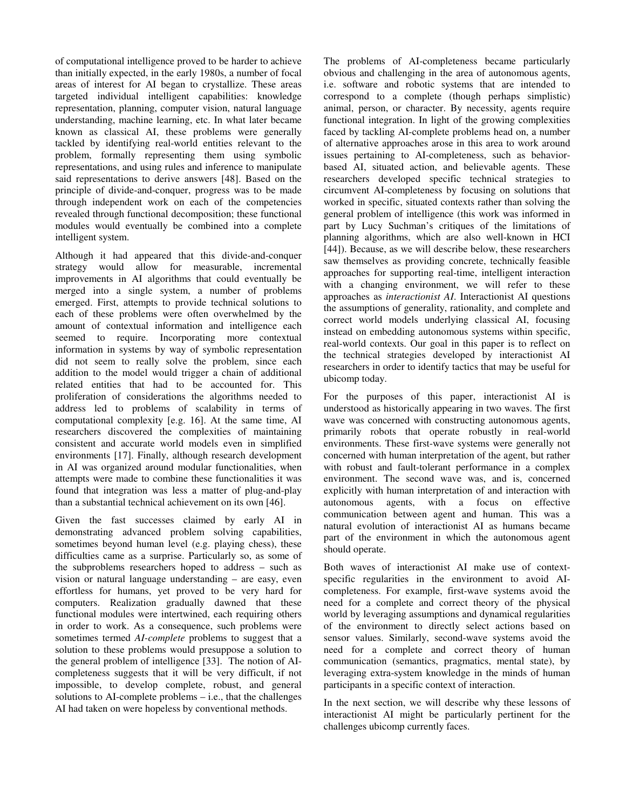of computational intelligence proved to be harder to achieve than initially expected, in the early 1980s, a number of focal areas of interest for AI began to crystallize. These areas targeted individual intelligent capabilities: knowledge representation, planning, computer vision, natural language understanding, machine learning, etc. In what later became known as classical AI, these problems were generally tackled by identifying real-world entities relevant to the problem, formally representing them using symbolic representations, and using rules and inference to manipulate said representations to derive answers [48]. Based on the principle of divide-and-conquer, progress was to be made through independent work on each of the competencies revealed through functional decomposition; these functional modules would eventually be combined into a complete intelligent system.

Although it had appeared that this divide-and-conquer strategy would allow for measurable, incremental improvements in AI algorithms that could eventually be merged into a single system, a number of problems emerged. First, attempts to provide technical solutions to each of these problems were often overwhelmed by the amount of contextual information and intelligence each seemed to require. Incorporating more contextual information in systems by way of symbolic representation did not seem to really solve the problem, since each addition to the model would trigger a chain of additional related entities that had to be accounted for. This proliferation of considerations the algorithms needed to address led to problems of scalability in terms of computational complexity [e.g. 16]. At the same time, AI researchers discovered the complexities of maintaining consistent and accurate world models even in simplified environments [17]. Finally, although research development in AI was organized around modular functionalities, when attempts were made to combine these functionalities it was found that integration was less a matter of plug-and-play than a substantial technical achievement on its own [46].

Given the fast successes claimed by early AI in demonstrating advanced problem solving capabilities, sometimes beyond human level (e.g. playing chess), these difficulties came as a surprise. Particularly so, as some of the subproblems researchers hoped to address – such as vision or natural language understanding – are easy, even effortless for humans, yet proved to be very hard for computers. Realization gradually dawned that these functional modules were intertwined, each requiring others in order to work. As a consequence, such problems were sometimes termed *AI-complete* problems to suggest that a solution to these problems would presuppose a solution to the general problem of intelligence [33]. The notion of AIcompleteness suggests that it will be very difficult, if not impossible, to develop complete, robust, and general solutions to AI-complete problems – i.e., that the challenges AI had taken on were hopeless by conventional methods.

The problems of AI-completeness became particularly obvious and challenging in the area of autonomous agents, i.e. software and robotic systems that are intended to correspond to a complete (though perhaps simplistic) animal, person, or character. By necessity, agents require functional integration. In light of the growing complexities faced by tackling AI-complete problems head on, a number of alternative approaches arose in this area to work around issues pertaining to AI-completeness, such as behaviorbased AI, situated action, and believable agents. These researchers developed specific technical strategies to circumvent AI-completeness by focusing on solutions that worked in specific, situated contexts rather than solving the general problem of intelligence (this work was informed in part by Lucy Suchman's critiques of the limitations of planning algorithms, which are also well-known in HCI [44]). Because, as we will describe below, these researchers saw themselves as providing concrete, technically feasible approaches for supporting real-time, intelligent interaction with a changing environment, we will refer to these approaches as *interactionist AI*. Interactionist AI questions the assumptions of generality, rationality, and complete and correct world models underlying classical AI, focusing instead on embedding autonomous systems within specific, real-world contexts. Our goal in this paper is to reflect on the technical strategies developed by interactionist AI researchers in order to identify tactics that may be useful for ubicomp today.

For the purposes of this paper, interactionist AI is understood as historically appearing in two waves. The first wave was concerned with constructing autonomous agents, primarily robots that operate robustly in real-world environments. These first-wave systems were generally not concerned with human interpretation of the agent, but rather with robust and fault-tolerant performance in a complex environment. The second wave was, and is, concerned explicitly with human interpretation of and interaction with autonomous agents, with a focus on effective communication between agent and human. This was a natural evolution of interactionist AI as humans became part of the environment in which the autonomous agent should operate.

Both waves of interactionist AI make use of contextspecific regularities in the environment to avoid AIcompleteness. For example, first-wave systems avoid the need for a complete and correct theory of the physical world by leveraging assumptions and dynamical regularities of the environment to directly select actions based on sensor values. Similarly, second-wave systems avoid the need for a complete and correct theory of human communication (semantics, pragmatics, mental state), by leveraging extra-system knowledge in the minds of human participants in a specific context of interaction.

In the next section, we will describe why these lessons of interactionist AI might be particularly pertinent for the challenges ubicomp currently faces.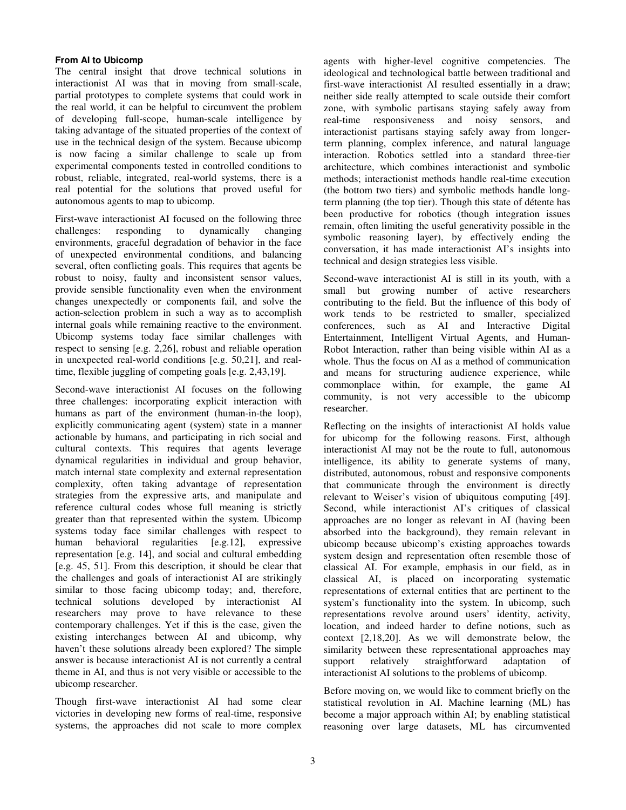#### **From AI to Ubicomp**

The central insight that drove technical solutions in interactionist AI was that in moving from small-scale, partial prototypes to complete systems that could work in the real world, it can be helpful to circumvent the problem of developing full-scope, human-scale intelligence by taking advantage of the situated properties of the context of use in the technical design of the system. Because ubicomp is now facing a similar challenge to scale up from experimental components tested in controlled conditions to robust, reliable, integrated, real-world systems, there is a real potential for the solutions that proved useful for autonomous agents to map to ubicomp.

First-wave interactionist AI focused on the following three challenges: responding to dynamically changing environments, graceful degradation of behavior in the face of unexpected environmental conditions, and balancing several, often conflicting goals. This requires that agents be robust to noisy, faulty and inconsistent sensor values, provide sensible functionality even when the environment changes unexpectedly or components fail, and solve the action-selection problem in such a way as to accomplish internal goals while remaining reactive to the environment. Ubicomp systems today face similar challenges with respect to sensing [e.g. 2,26], robust and reliable operation in unexpected real-world conditions [e.g. 50,21], and realtime, flexible juggling of competing goals [e.g. 2,43,19].

Second-wave interactionist AI focuses on the following three challenges: incorporating explicit interaction with humans as part of the environment (human-in-the loop), explicitly communicating agent (system) state in a manner actionable by humans, and participating in rich social and cultural contexts. This requires that agents leverage dynamical regularities in individual and group behavior, match internal state complexity and external representation complexity, often taking advantage of representation strategies from the expressive arts, and manipulate and reference cultural codes whose full meaning is strictly greater than that represented within the system. Ubicomp systems today face similar challenges with respect to human behavioral regularities [e.g.12], expressive representation [e.g. 14], and social and cultural embedding [e.g. 45, 51]. From this description, it should be clear that the challenges and goals of interactionist AI are strikingly similar to those facing ubicomp today; and, therefore, technical solutions developed by interactionist AI researchers may prove to have relevance to these contemporary challenges. Yet if this is the case, given the existing interchanges between AI and ubicomp, why haven't these solutions already been explored? The simple answer is because interactionist AI is not currently a central theme in AI, and thus is not very visible or accessible to the ubicomp researcher.

Though first-wave interactionist AI had some clear victories in developing new forms of real-time, responsive systems, the approaches did not scale to more complex agents with higher-level cognitive competencies. The ideological and technological battle between traditional and first-wave interactionist AI resulted essentially in a draw; neither side really attempted to scale outside their comfort zone, with symbolic partisans staying safely away from real-time responsiveness and noisy sensors, and interactionist partisans staying safely away from longerterm planning, complex inference, and natural language interaction. Robotics settled into a standard three-tier architecture, which combines interactionist and symbolic methods; interactionist methods handle real-time execution (the bottom two tiers) and symbolic methods handle longterm planning (the top tier). Though this state of détente has been productive for robotics (though integration issues remain, often limiting the useful generativity possible in the symbolic reasoning layer), by effectively ending the conversation, it has made interactionist AI's insights into technical and design strategies less visible.

Second-wave interactionist AI is still in its youth, with a small but growing number of active researchers contributing to the field. But the influence of this body of work tends to be restricted to smaller, specialized conferences, such as AI and Interactive Digital Entertainment, Intelligent Virtual Agents, and Human-Robot Interaction, rather than being visible within AI as a whole. Thus the focus on AI as a method of communication and means for structuring audience experience, while commonplace within, for example, the game AI community, is not very accessible to the ubicomp researcher.

Reflecting on the insights of interactionist AI holds value for ubicomp for the following reasons. First, although interactionist AI may not be the route to full, autonomous intelligence, its ability to generate systems of many, distributed, autonomous, robust and responsive components that communicate through the environment is directly relevant to Weiser's vision of ubiquitous computing [49]. Second, while interactionist AI's critiques of classical approaches are no longer as relevant in AI (having been absorbed into the background), they remain relevant in ubicomp because ubicomp's existing approaches towards system design and representation often resemble those of classical AI. For example, emphasis in our field, as in classical AI, is placed on incorporating systematic representations of external entities that are pertinent to the system's functionality into the system. In ubicomp, such representations revolve around users' identity, activity, location, and indeed harder to define notions, such as context [2,18,20]. As we will demonstrate below, the similarity between these representational approaches may support relatively straightforward adaptation of interactionist AI solutions to the problems of ubicomp.

Before moving on, we would like to comment briefly on the statistical revolution in AI. Machine learning (ML) has become a major approach within AI; by enabling statistical reasoning over large datasets, ML has circumvented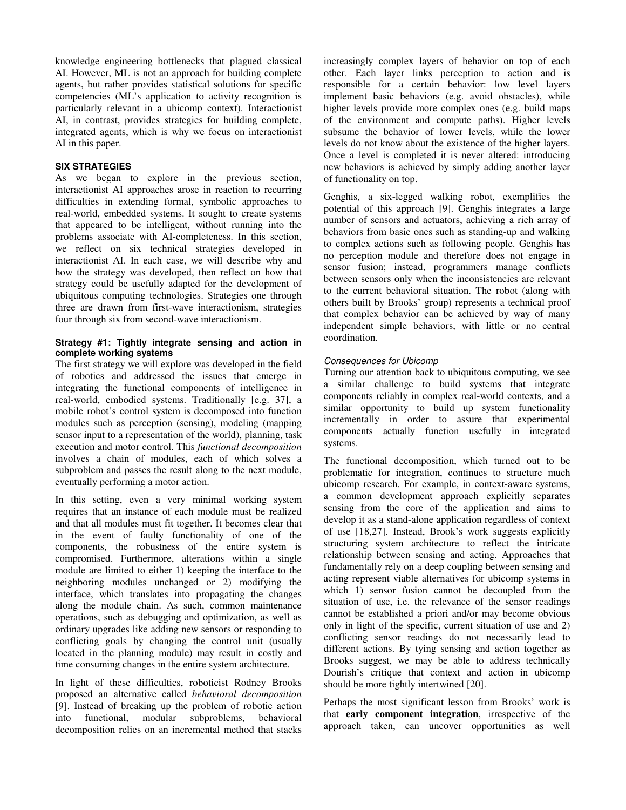knowledge engineering bottlenecks that plagued classical AI. However, ML is not an approach for building complete agents, but rather provides statistical solutions for specific competencies (ML's application to activity recognition is particularly relevant in a ubicomp context). Interactionist AI, in contrast, provides strategies for building complete, integrated agents, which is why we focus on interactionist AI in this paper.

#### **SIX STRATEGIES**

As we began to explore in the previous section, interactionist AI approaches arose in reaction to recurring difficulties in extending formal, symbolic approaches to real-world, embedded systems. It sought to create systems that appeared to be intelligent, without running into the problems associate with AI-completeness. In this section, we reflect on six technical strategies developed in interactionist AI. In each case, we will describe why and how the strategy was developed, then reflect on how that strategy could be usefully adapted for the development of ubiquitous computing technologies. Strategies one through three are drawn from first-wave interactionism, strategies four through six from second-wave interactionism.

#### **Strategy #1: Tightly integrate sensing and action in complete working systems**

The first strategy we will explore was developed in the field of robotics and addressed the issues that emerge in integrating the functional components of intelligence in real-world, embodied systems. Traditionally [e.g. 37], a mobile robot's control system is decomposed into function modules such as perception (sensing), modeling (mapping sensor input to a representation of the world), planning, task execution and motor control. This *functional decomposition* involves a chain of modules, each of which solves a subproblem and passes the result along to the next module, eventually performing a motor action.

In this setting, even a very minimal working system requires that an instance of each module must be realized and that all modules must fit together. It becomes clear that in the event of faulty functionality of one of the components, the robustness of the entire system is compromised. Furthermore, alterations within a single module are limited to either 1) keeping the interface to the neighboring modules unchanged or 2) modifying the interface, which translates into propagating the changes along the module chain. As such, common maintenance operations, such as debugging and optimization, as well as ordinary upgrades like adding new sensors or responding to conflicting goals by changing the control unit (usually located in the planning module) may result in costly and time consuming changes in the entire system architecture.

In light of these difficulties, roboticist Rodney Brooks proposed an alternative called *behavioral decomposition* [9]. Instead of breaking up the problem of robotic action into functional, modular subproblems, behavioral decomposition relies on an incremental method that stacks

increasingly complex layers of behavior on top of each other. Each layer links perception to action and is responsible for a certain behavior: low level layers implement basic behaviors (e.g. avoid obstacles), while higher levels provide more complex ones (e.g. build maps of the environment and compute paths). Higher levels subsume the behavior of lower levels, while the lower levels do not know about the existence of the higher layers. Once a level is completed it is never altered: introducing new behaviors is achieved by simply adding another layer of functionality on top.

Genghis, a six-legged walking robot, exemplifies the potential of this approach [9]. Genghis integrates a large number of sensors and actuators, achieving a rich array of behaviors from basic ones such as standing-up and walking to complex actions such as following people. Genghis has no perception module and therefore does not engage in sensor fusion; instead, programmers manage conflicts between sensors only when the inconsistencies are relevant to the current behavioral situation. The robot (along with others built by Brooks' group) represents a technical proof that complex behavior can be achieved by way of many independent simple behaviors, with little or no central coordination.

## Consequences for Ubicomp

Turning our attention back to ubiquitous computing, we see a similar challenge to build systems that integrate components reliably in complex real-world contexts, and a similar opportunity to build up system functionality incrementally in order to assure that experimental components actually function usefully in integrated systems.

The functional decomposition, which turned out to be problematic for integration, continues to structure much ubicomp research. For example, in context-aware systems, a common development approach explicitly separates sensing from the core of the application and aims to develop it as a stand-alone application regardless of context of use [18,27]. Instead, Brook's work suggests explicitly structuring system architecture to reflect the intricate relationship between sensing and acting. Approaches that fundamentally rely on a deep coupling between sensing and acting represent viable alternatives for ubicomp systems in which 1) sensor fusion cannot be decoupled from the situation of use, i.e. the relevance of the sensor readings cannot be established a priori and/or may become obvious only in light of the specific, current situation of use and 2) conflicting sensor readings do not necessarily lead to different actions. By tying sensing and action together as Brooks suggest, we may be able to address technically Dourish's critique that context and action in ubicomp should be more tightly intertwined [20].

Perhaps the most significant lesson from Brooks' work is that **early component integration**, irrespective of the approach taken, can uncover opportunities as well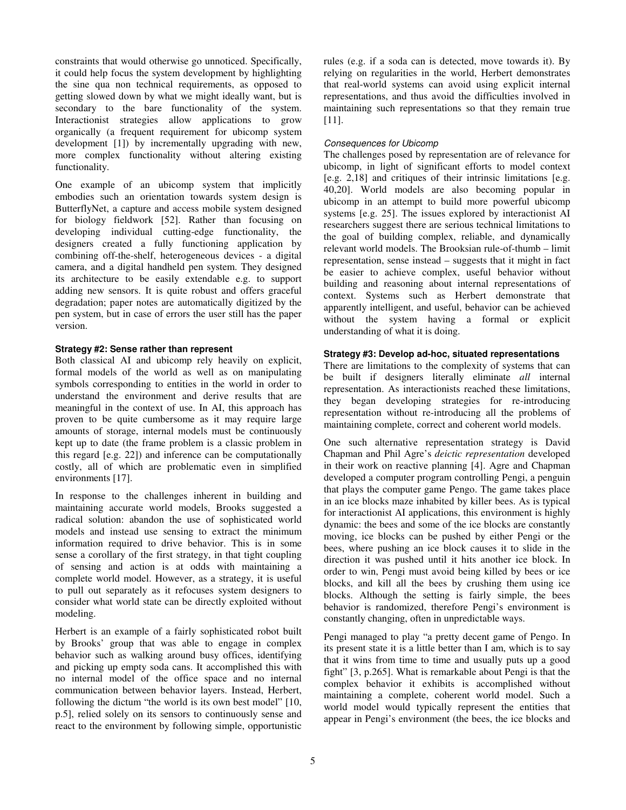constraints that would otherwise go unnoticed. Specifically, it could help focus the system development by highlighting the sine qua non technical requirements, as opposed to getting slowed down by what we might ideally want, but is secondary to the bare functionality of the system. Interactionist strategies allow applications to grow organically (a frequent requirement for ubicomp system development [1]) by incrementally upgrading with new, more complex functionality without altering existing functionality.

One example of an ubicomp system that implicitly embodies such an orientation towards system design is ButterflyNet, a capture and access mobile system designed for biology fieldwork [52]. Rather than focusing on developing individual cutting-edge functionality, the designers created a fully functioning application by combining off-the-shelf, heterogeneous devices - a digital camera, and a digital handheld pen system. They designed its architecture to be easily extendable e.g. to support adding new sensors. It is quite robust and offers graceful degradation; paper notes are automatically digitized by the pen system, but in case of errors the user still has the paper version.

#### **Strategy #2: Sense rather than represent**

Both classical AI and ubicomp rely heavily on explicit, formal models of the world as well as on manipulating symbols corresponding to entities in the world in order to understand the environment and derive results that are meaningful in the context of use. In AI, this approach has proven to be quite cumbersome as it may require large amounts of storage, internal models must be continuously kept up to date (the frame problem is a classic problem in this regard [e.g. 22]) and inference can be computationally costly, all of which are problematic even in simplified environments [17].

In response to the challenges inherent in building and maintaining accurate world models, Brooks suggested a radical solution: abandon the use of sophisticated world models and instead use sensing to extract the minimum information required to drive behavior. This is in some sense a corollary of the first strategy, in that tight coupling of sensing and action is at odds with maintaining a complete world model. However, as a strategy, it is useful to pull out separately as it refocuses system designers to consider what world state can be directly exploited without modeling.

Herbert is an example of a fairly sophisticated robot built by Brooks' group that was able to engage in complex behavior such as walking around busy offices, identifying and picking up empty soda cans. It accomplished this with no internal model of the office space and no internal communication between behavior layers. Instead, Herbert, following the dictum "the world is its own best model" [10, p.5], relied solely on its sensors to continuously sense and react to the environment by following simple, opportunistic

rules (e.g. if a soda can is detected, move towards it). By relying on regularities in the world, Herbert demonstrates that real-world systems can avoid using explicit internal representations, and thus avoid the difficulties involved in maintaining such representations so that they remain true [11].

## Consequences for Ubicomp

The challenges posed by representation are of relevance for ubicomp, in light of significant efforts to model context [e.g. 2,18] and critiques of their intrinsic limitations [e.g. 40,20]. World models are also becoming popular in ubicomp in an attempt to build more powerful ubicomp systems [e.g. 25]. The issues explored by interactionist AI researchers suggest there are serious technical limitations to the goal of building complex, reliable, and dynamically relevant world models. The Brooksian rule-of-thumb – limit representation, sense instead – suggests that it might in fact be easier to achieve complex, useful behavior without building and reasoning about internal representations of context. Systems such as Herbert demonstrate that apparently intelligent, and useful, behavior can be achieved without the system having a formal or explicit understanding of what it is doing.

## **Strategy #3: Develop ad-hoc, situated representations**

There are limitations to the complexity of systems that can be built if designers literally eliminate *all* internal representation. As interactionists reached these limitations, they began developing strategies for re-introducing representation without re-introducing all the problems of maintaining complete, correct and coherent world models.

One such alternative representation strategy is David Chapman and Phil Agre's *deictic representation* developed in their work on reactive planning [4]. Agre and Chapman developed a computer program controlling Pengi, a penguin that plays the computer game Pengo. The game takes place in an ice blocks maze inhabited by killer bees. As is typical for interactionist AI applications, this environment is highly dynamic: the bees and some of the ice blocks are constantly moving, ice blocks can be pushed by either Pengi or the bees, where pushing an ice block causes it to slide in the direction it was pushed until it hits another ice block. In order to win, Pengi must avoid being killed by bees or ice blocks, and kill all the bees by crushing them using ice blocks. Although the setting is fairly simple, the bees behavior is randomized, therefore Pengi's environment is constantly changing, often in unpredictable ways.

Pengi managed to play "a pretty decent game of Pengo. In its present state it is a little better than I am, which is to say that it wins from time to time and usually puts up a good fight" [3, p.265]. What is remarkable about Pengi is that the complex behavior it exhibits is accomplished without maintaining a complete, coherent world model. Such a world model would typically represent the entities that appear in Pengi's environment (the bees, the ice blocks and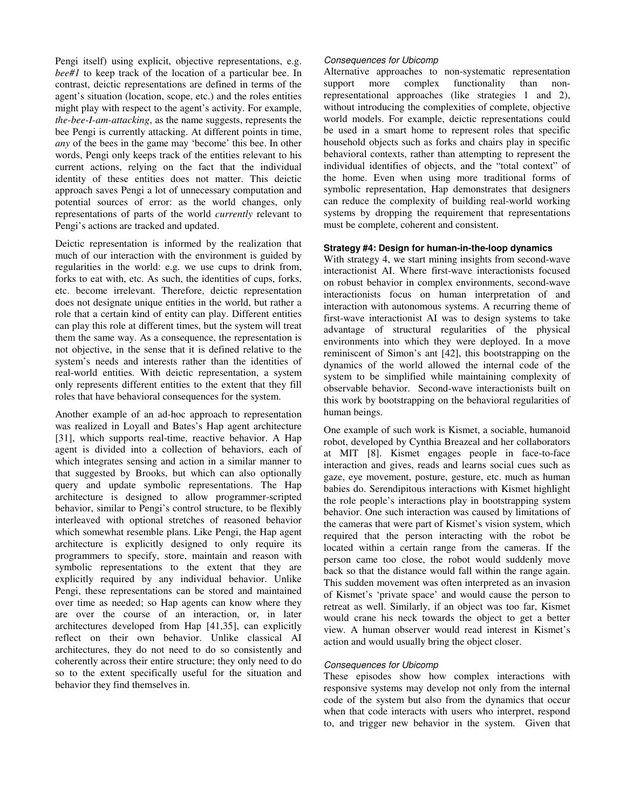Pengi itself) using explicit, objective representations, e.g. *bee#1* to keep track of the location of a particular bee. In contrast, deictic representations are defined in terms of the agent's situation (location, scope, etc.) and the roles entities might play with respect to the agent's activity. For example, *the-bee-I-am-attacking*, as the name suggests, represents the bee Pengi is currently attacking. At different points in time, *any* of the bees in the game may 'become' this bee. In other words, Pengi only keeps track of the entities relevant to his current actions, relying on the fact that the individual identity of these entities does not matter. This deictic approach saves Pengi a lot of unnecessary computation and potential sources of error: as the world changes, only representations of parts of the world *currently* relevant to Pengi's actions are tracked and updated.

Deictic representation is informed by the realization that much of our interaction with the environment is guided by regularities in the world: e.g. we use cups to drink from, forks to eat with, etc. As such, the identities of cups, forks, etc. become irrelevant. Therefore, deictic representation does not designate unique entities in the world, but rather a role that a certain kind of entity can play. Different entities can play this role at different times, but the system will treat them the same way. As a consequence, the representation is not objective, in the sense that it is defined relative to the system's needs and interests rather than the identities of real-world entities. With deictic representation, a system only represents different entities to the extent that they fill roles that have behavioral consequences for the system.

Another example of an ad-hoc approach to representation was realized in Loyall and Bates's Hap agent architecture [31], which supports real-time, reactive behavior. A Hap agent is divided into a collection of behaviors, each of which integrates sensing and action in a similar manner to that suggested by Brooks, but which can also optionally query and update symbolic representations. The Hap architecture is designed to allow programmer-scripted behavior, similar to Pengi's control structure, to be flexibly interleaved with optional stretches of reasoned behavior which somewhat resemble plans. Like Pengi, the Hap agent architecture is explicitly designed to only require its programmers to specify, store, maintain and reason with symbolic representations to the extent that they are explicitly required by any individual behavior. Unlike Pengi, these representations can be stored and maintained over time as needed; so Hap agents can know where they are over the course of an interaction, or, in later architectures developed from Hap [41,35], can explicitly reflect on their own behavior. Unlike classical AI architectures, they do not need to do so consistently and coherently across their entire structure; they only need to do so to the extent specifically useful for the situation and behavior they find themselves in.

#### Consequences for Ubicomp

Alternative approaches to non-systematic representation support more complex functionality than nonrepresentational approaches (like strategies 1 and 2), without introducing the complexities of complete, objective world models. For example, deictic representations could be used in a smart home to represent roles that specific household objects such as forks and chairs play in specific behavioral contexts, rather than attempting to represent the individual identifies of objects, and the "total context" of the home. Even when using more traditional forms of symbolic representation, Hap demonstrates that designers can reduce the complexity of building real-world working systems by dropping the requirement that representations must be complete, coherent and consistent.

## **Strategy #4: Design for human-in-the-loop dynamics**

With strategy 4, we start mining insights from second-wave interactionist AI. Where first-wave interactionists focused on robust behavior in complex environments, second-wave interactionists focus on human interpretation of and interaction with autonomous systems. A recurring theme of first-wave interactionist AI was to design systems to take advantage of structural regularities of the physical environments into which they were deployed. In a move reminiscent of Simon's ant [42], this bootstrapping on the dynamics of the world allowed the internal code of the system to be simplified while maintaining complexity of observable behavior. Second-wave interactionists built on this work by bootstrapping on the behavioral regularities of human beings.

One example of such work is Kismet, a sociable, humanoid robot, developed by Cynthia Breazeal and her collaborators at MIT [8]. Kismet engages people in face-to-face interaction and gives, reads and learns social cues such as gaze, eye movement, posture, gesture, etc. much as human babies do. Serendipitous interactions with Kismet highlight the role people's interactions play in bootstrapping system behavior. One such interaction was caused by limitations of the cameras that were part of Kismet's vision system, which required that the person interacting with the robot be located within a certain range from the cameras. If the person came too close, the robot would suddenly move back so that the distance would fall within the range again. This sudden movement was often interpreted as an invasion of Kismet's 'private space' and would cause the person to retreat as well. Similarly, if an object was too far, Kismet would crane his neck towards the object to get a better view. A human observer would read interest in Kismet's action and would usually bring the object closer.

## Consequences for Ubicomp

These episodes show how complex interactions with responsive systems may develop not only from the internal code of the system but also from the dynamics that occur when that code interacts with users who interpret, respond to, and trigger new behavior in the system. Given that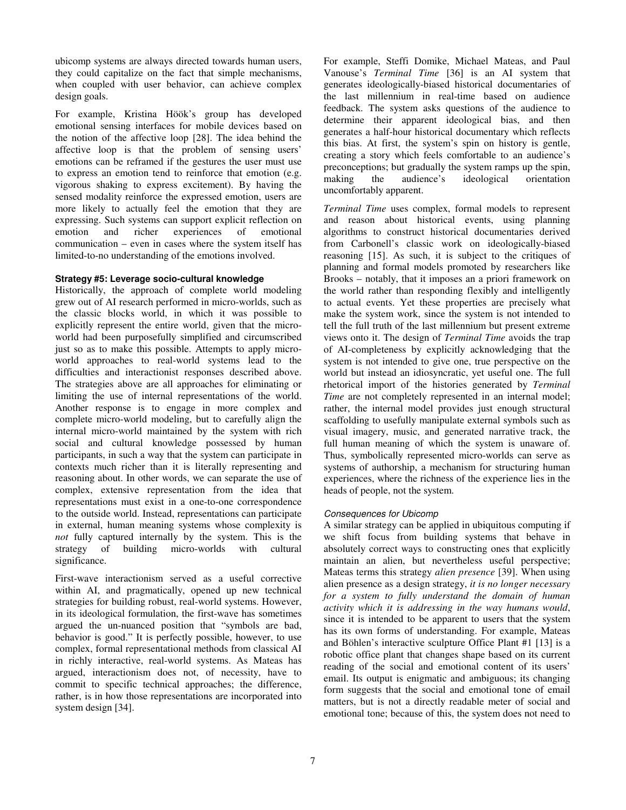ubicomp systems are always directed towards human users, they could capitalize on the fact that simple mechanisms, when coupled with user behavior, can achieve complex design goals.

For example, Kristina Höök's group has developed emotional sensing interfaces for mobile devices based on the notion of the affective loop [28]. The idea behind the affective loop is that the problem of sensing users' emotions can be reframed if the gestures the user must use to express an emotion tend to reinforce that emotion (e.g. vigorous shaking to express excitement). By having the sensed modality reinforce the expressed emotion, users are more likely to actually feel the emotion that they are expressing. Such systems can support explicit reflection on emotion and richer experiences of emotional communication – even in cases where the system itself has limited-to-no understanding of the emotions involved.

## **Strategy #5: Leverage socio-cultural knowledge**

Historically, the approach of complete world modeling grew out of AI research performed in micro-worlds, such as the classic blocks world, in which it was possible to explicitly represent the entire world, given that the microworld had been purposefully simplified and circumscribed just so as to make this possible. Attempts to apply microworld approaches to real-world systems lead to the difficulties and interactionist responses described above. The strategies above are all approaches for eliminating or limiting the use of internal representations of the world. Another response is to engage in more complex and complete micro-world modeling, but to carefully align the internal micro-world maintained by the system with rich social and cultural knowledge possessed by human participants, in such a way that the system can participate in contexts much richer than it is literally representing and reasoning about. In other words, we can separate the use of complex, extensive representation from the idea that representations must exist in a one-to-one correspondence to the outside world. Instead, representations can participate in external, human meaning systems whose complexity is *not* fully captured internally by the system. This is the strategy of building micro-worlds with cultural significance.

First-wave interactionism served as a useful corrective within AI, and pragmatically, opened up new technical strategies for building robust, real-world systems. However, in its ideological formulation, the first-wave has sometimes argued the un-nuanced position that "symbols are bad, behavior is good." It is perfectly possible, however, to use complex, formal representational methods from classical AI in richly interactive, real-world systems. As Mateas has argued, interactionism does not, of necessity, have to commit to specific technical approaches; the difference, rather, is in how those representations are incorporated into system design [34].

For example, Steffi Domike, Michael Mateas, and Paul Vanouse's *Terminal Time* [36] is an AI system that generates ideologically-biased historical documentaries of the last millennium in real-time based on audience feedback. The system asks questions of the audience to determine their apparent ideological bias, and then generates a half-hour historical documentary which reflects this bias. At first, the system's spin on history is gentle, creating a story which feels comfortable to an audience's preconceptions; but gradually the system ramps up the spin, making the audience's ideological orientation uncomfortably apparent.

*Terminal Time* uses complex, formal models to represent and reason about historical events, using planning algorithms to construct historical documentaries derived from Carbonell's classic work on ideologically-biased reasoning [15]. As such, it is subject to the critiques of planning and formal models promoted by researchers like Brooks – notably, that it imposes an a priori framework on the world rather than responding flexibly and intelligently to actual events. Yet these properties are precisely what make the system work, since the system is not intended to tell the full truth of the last millennium but present extreme views onto it. The design of *Terminal Time* avoids the trap of AI-completeness by explicitly acknowledging that the system is not intended to give one, true perspective on the world but instead an idiosyncratic, yet useful one. The full rhetorical import of the histories generated by *Terminal Time* are not completely represented in an internal model; rather, the internal model provides just enough structural scaffolding to usefully manipulate external symbols such as visual imagery, music, and generated narrative track, the full human meaning of which the system is unaware of. Thus, symbolically represented micro-worlds can serve as systems of authorship, a mechanism for structuring human experiences, where the richness of the experience lies in the heads of people, not the system.

## Consequences for Ubicomp

A similar strategy can be applied in ubiquitous computing if we shift focus from building systems that behave in absolutely correct ways to constructing ones that explicitly maintain an alien, but nevertheless useful perspective; Mateas terms this strategy *alien presence* [39]. When using alien presence as a design strategy, *it is no longer necessary for a system to fully understand the domain of human activity which it is addressing in the way humans would*, since it is intended to be apparent to users that the system has its own forms of understanding. For example, Mateas and Böhlen's interactive sculpture Office Plant #1 [13] is a robotic office plant that changes shape based on its current reading of the social and emotional content of its users' email. Its output is enigmatic and ambiguous; its changing form suggests that the social and emotional tone of email matters, but is not a directly readable meter of social and emotional tone; because of this, the system does not need to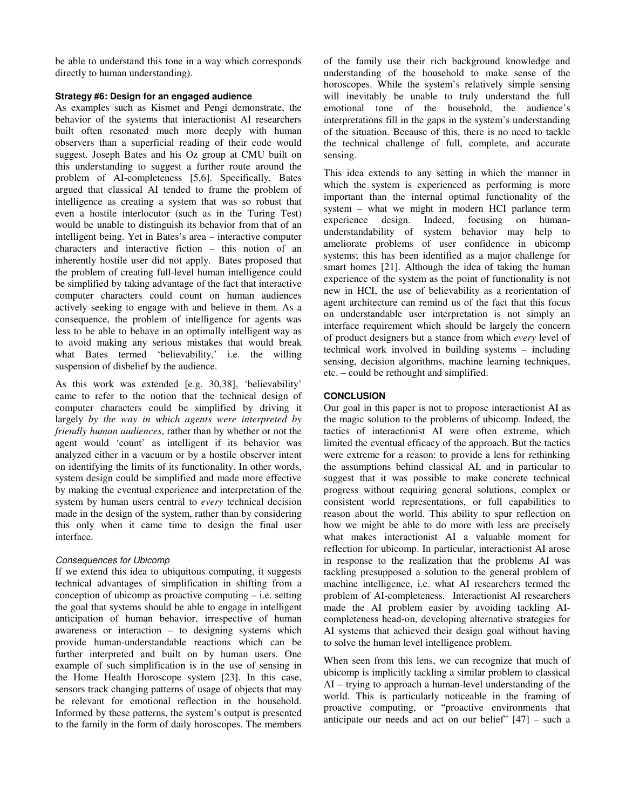be able to understand this tone in a way which corresponds directly to human understanding).

## **Strategy #6: Design for an engaged audience**

As examples such as Kismet and Pengi demonstrate, the behavior of the systems that interactionist AI researchers built often resonated much more deeply with human observers than a superficial reading of their code would suggest. Joseph Bates and his Oz group at CMU built on this understanding to suggest a further route around the problem of AI-completeness [5,6]. Specifically, Bates argued that classical AI tended to frame the problem of intelligence as creating a system that was so robust that even a hostile interlocutor (such as in the Turing Test) would be unable to distinguish its behavior from that of an intelligent being. Yet in Bates's area – interactive computer characters and interactive fiction – this notion of an inherently hostile user did not apply. Bates proposed that the problem of creating full-level human intelligence could be simplified by taking advantage of the fact that interactive computer characters could count on human audiences actively seeking to engage with and believe in them. As a consequence, the problem of intelligence for agents was less to be able to behave in an optimally intelligent way as to avoid making any serious mistakes that would break what Bates termed 'believability,' i.e. the willing suspension of disbelief by the audience.

As this work was extended [e.g. 30,38], 'believability' came to refer to the notion that the technical design of computer characters could be simplified by driving it largely *by the way in which agents were interpreted by friendly human audiences*, rather than by whether or not the agent would 'count' as intelligent if its behavior was analyzed either in a vacuum or by a hostile observer intent on identifying the limits of its functionality. In other words, system design could be simplified and made more effective by making the eventual experience and interpretation of the system by human users central to *every* technical decision made in the design of the system, rather than by considering this only when it came time to design the final user interface.

## Consequences for Ubicomp

If we extend this idea to ubiquitous computing, it suggests technical advantages of simplification in shifting from a conception of ubicomp as proactive computing – i.e. setting the goal that systems should be able to engage in intelligent anticipation of human behavior, irrespective of human awareness or interaction – to designing systems which provide human-understandable reactions which can be further interpreted and built on by human users. One example of such simplification is in the use of sensing in the Home Health Horoscope system [23]. In this case, sensors track changing patterns of usage of objects that may be relevant for emotional reflection in the household. Informed by these patterns, the system's output is presented to the family in the form of daily horoscopes. The members

of the family use their rich background knowledge and understanding of the household to make sense of the horoscopes. While the system's relatively simple sensing will inevitably be unable to truly understand the full emotional tone of the household, the audience's interpretations fill in the gaps in the system's understanding of the situation. Because of this, there is no need to tackle the technical challenge of full, complete, and accurate sensing.

This idea extends to any setting in which the manner in which the system is experienced as performing is more important than the internal optimal functionality of the system – what we might in modern HCI parlance term<br>experience design. Indeed, focusing on human-Indeed, focusing on humanunderstandability of system behavior may help to ameliorate problems of user confidence in ubicomp systems; this has been identified as a major challenge for smart homes [21]. Although the idea of taking the human experience of the system as the point of functionality is not new in HCI, the use of believability as a reorientation of agent architecture can remind us of the fact that this focus on understandable user interpretation is not simply an interface requirement which should be largely the concern of product designers but a stance from which *every* level of technical work involved in building systems – including sensing, decision algorithms, machine learning techniques, etc. – could be rethought and simplified.

# **CONCLUSION**

Our goal in this paper is not to propose interactionist AI as the magic solution to the problems of ubicomp. Indeed, the tactics of interactionist AI were often extreme, which limited the eventual efficacy of the approach. But the tactics were extreme for a reason: to provide a lens for rethinking the assumptions behind classical AI, and in particular to suggest that it was possible to make concrete technical progress without requiring general solutions, complex or consistent world representations, or full capabilities to reason about the world. This ability to spur reflection on how we might be able to do more with less are precisely what makes interactionist AI a valuable moment for reflection for ubicomp. In particular, interactionist AI arose in response to the realization that the problems AI was tackling presupposed a solution to the general problem of machine intelligence, i.e. what AI researchers termed the problem of AI-completeness. Interactionist AI researchers made the AI problem easier by avoiding tackling AIcompleteness head-on, developing alternative strategies for AI systems that achieved their design goal without having to solve the human level intelligence problem.

When seen from this lens, we can recognize that much of ubicomp is implicitly tackling a similar problem to classical AI – trying to approach a human-level understanding of the world. This is particularly noticeable in the framing of proactive computing, or "proactive environments that anticipate our needs and act on our belief"  $[47]$  – such a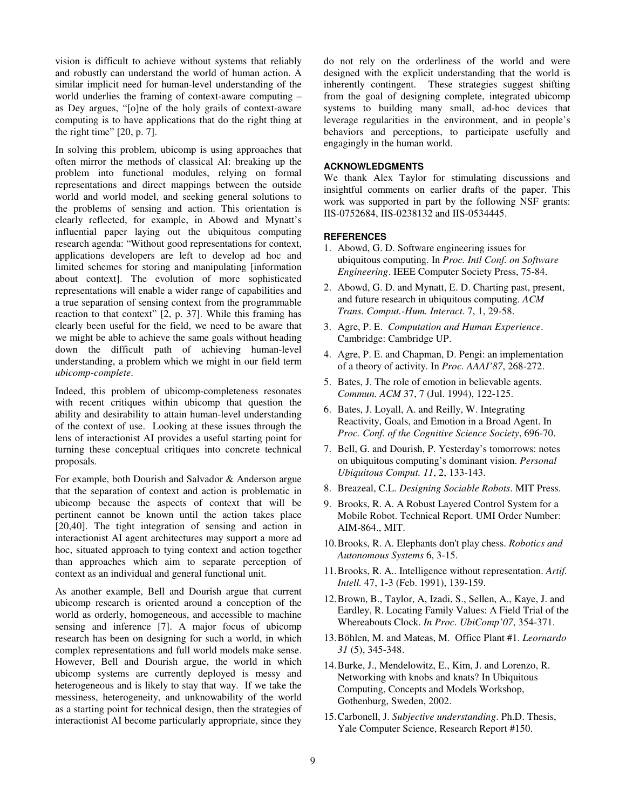vision is difficult to achieve without systems that reliably and robustly can understand the world of human action. A similar implicit need for human-level understanding of the world underlies the framing of context-aware computing – as Dey argues, "[o]ne of the holy grails of context-aware computing is to have applications that do the right thing at the right time" [20, p. 7].

In solving this problem, ubicomp is using approaches that often mirror the methods of classical AI: breaking up the problem into functional modules, relying on formal representations and direct mappings between the outside world and world model, and seeking general solutions to the problems of sensing and action. This orientation is clearly reflected, for example, in Abowd and Mynatt's influential paper laying out the ubiquitous computing research agenda: "Without good representations for context, applications developers are left to develop ad hoc and limited schemes for storing and manipulating [information about context]. The evolution of more sophisticated representations will enable a wider range of capabilities and a true separation of sensing context from the programmable reaction to that context" [2, p. 37]. While this framing has clearly been useful for the field, we need to be aware that we might be able to achieve the same goals without heading down the difficult path of achieving human-level understanding, a problem which we might in our field term *ubicomp-complete*.

Indeed, this problem of ubicomp-completeness resonates with recent critiques within ubicomp that question the ability and desirability to attain human-level understanding of the context of use. Looking at these issues through the lens of interactionist AI provides a useful starting point for turning these conceptual critiques into concrete technical proposals.

For example, both Dourish and Salvador & Anderson argue that the separation of context and action is problematic in ubicomp because the aspects of context that will be pertinent cannot be known until the action takes place [20,40]. The tight integration of sensing and action in interactionist AI agent architectures may support a more ad hoc, situated approach to tying context and action together than approaches which aim to separate perception of context as an individual and general functional unit.

As another example, Bell and Dourish argue that current ubicomp research is oriented around a conception of the world as orderly, homogeneous, and accessible to machine sensing and inference [7]. A major focus of ubicomp research has been on designing for such a world, in which complex representations and full world models make sense. However, Bell and Dourish argue, the world in which ubicomp systems are currently deployed is messy and heterogeneous and is likely to stay that way. If we take the messiness, heterogeneity, and unknowability of the world as a starting point for technical design, then the strategies of interactionist AI become particularly appropriate, since they

do not rely on the orderliness of the world and were designed with the explicit understanding that the world is inherently contingent. These strategies suggest shifting from the goal of designing complete, integrated ubicomp systems to building many small, ad-hoc devices that leverage regularities in the environment, and in people's behaviors and perceptions, to participate usefully and engagingly in the human world.

#### **ACKNOWLEDGMENTS**

We thank Alex Taylor for stimulating discussions and insightful comments on earlier drafts of the paper. This work was supported in part by the following NSF grants: IIS-0752684, IIS-0238132 and IIS-0534445.

#### **REFERENCES**

- 1. Abowd, G. D. Software engineering issues for ubiquitous computing. In *Proc. Intl Conf. on Software Engineering*. IEEE Computer Society Press, 75-84.
- 2. Abowd, G. D. and Mynatt, E. D. Charting past, present, and future research in ubiquitous computing. *ACM Trans. Comput.-Hum. Interact*. 7, 1, 29-58.
- 3. Agre, P. E. *Computation and Human Experience*. Cambridge: Cambridge UP.
- 4. Agre, P. E. and Chapman, D. Pengi: an implementation of a theory of activity. In *Proc. AAAI'87*, 268-272.
- 5. Bates, J. The role of emotion in believable agents. *Commun. ACM* 37, 7 (Jul. 1994), 122-125.
- 6. Bates, J. Loyall, A. and Reilly, W. Integrating Reactivity, Goals, and Emotion in a Broad Agent. In *Proc. Conf. of the Cognitive Science Society*, 696-70.
- 7. Bell, G. and Dourish, P. Yesterday's tomorrows: notes on ubiquitous computing's dominant vision. *Personal Ubiquitous Comput. 11*, 2, 133-143.
- 8. Breazeal, C.L. *Designing Sociable Robots*. MIT Press.
- 9. Brooks, R. A. A Robust Layered Control System for a Mobile Robot. Technical Report. UMI Order Number: AIM-864., MIT.
- 10. Brooks, R. A. Elephants don't play chess. *Robotics and Autonomous Systems* 6, 3-15.
- 11. Brooks, R. A.. Intelligence without representation. *Artif. Intell.* 47, 1-3 (Feb. 1991), 139-159.
- 12. Brown, B., Taylor, A, Izadi, S., Sellen, A., Kaye, J. and Eardley, R. Locating Family Values: A Field Trial of the Whereabouts Clock. *In Proc. UbiComp'07*, 354-371.
- 13. Böhlen, M. and Mateas, M. Office Plant #1. *Leornardo 31* (5), 345-348.
- 14. Burke, J., Mendelowitz, E., Kim, J. and Lorenzo, R. Networking with knobs and knats? In Ubiquitous Computing, Concepts and Models Workshop, Gothenburg, Sweden, 2002.
- 15. Carbonell, J. *Subjective understanding*. Ph.D. Thesis, Yale Computer Science, Research Report #150.